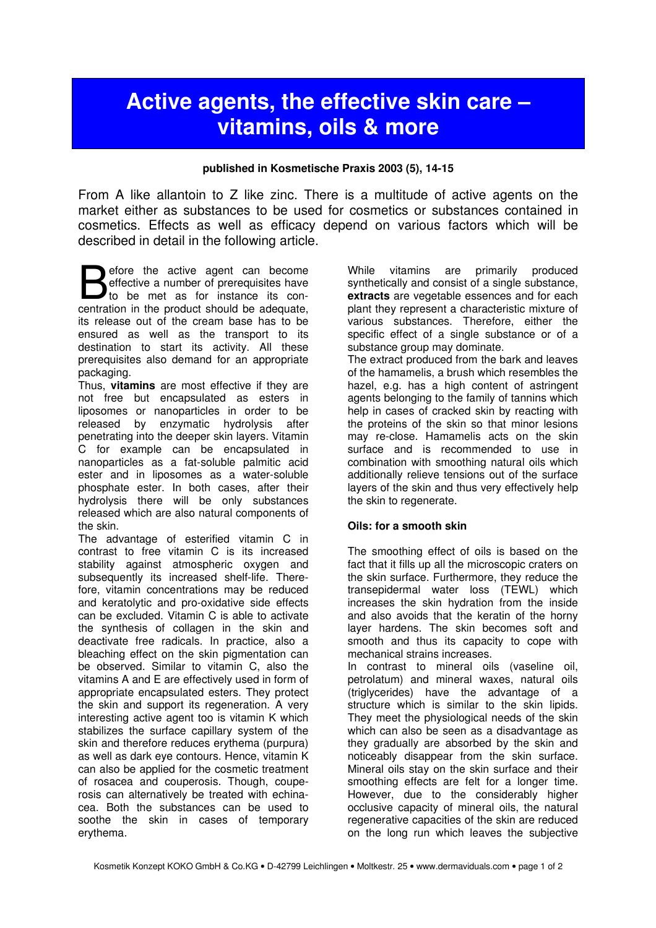# Active agents, the effective skin care – vitamins, oils & more

#### published in Kosmetische Praxis 2003 (5), 14-15

From A like allantoin to Z like zinc. There is a multitude of active agents on the market either as substances to be used for cosmetics or substances contained in cosmetics. Effects as well as efficacy depend on various factors which will be described in detail in the following article.

efore the active agent can become effective a number of prerequisites have **Example 5** effective a number of prerequisites have<br>to be met as for instance its con-<br>contration in the product should be adopted centration in the product should be adequate, its release out of the cream base has to be ensured as well as the transport to its destination to start its activity. All these prerequisites also demand for an appropriate packaging.

Thus, **vitamins** are most effective if they are not free but encapsulated as esters in liposomes or nanoparticles in order to be released by enzymatic hydrolysis after penetrating into the deeper skin layers. Vitamin C for example can be encapsulated in nanoparticles as a fat-soluble palmitic acid ester and in liposomes as a water-soluble phosphate ester. In both cases, after their hydrolysis there will be only substances released which are also natural components of the skin.

The advantage of esterified vitamin C in contrast to free vitamin C is its increased stability against atmospheric oxygen and subsequently its increased shelf-life. Therefore, vitamin concentrations may be reduced and keratolytic and pro-oxidative side effects can be excluded. Vitamin C is able to activate the synthesis of collagen in the skin and deactivate free radicals. In practice, also a bleaching effect on the skin pigmentation can be observed. Similar to vitamin C, also the vitamins A and E are effectively used in form of appropriate encapsulated esters. They protect the skin and support its regeneration. A very interesting active agent too is vitamin K which stabilizes the surface capillary system of the skin and therefore reduces erythema (purpura) as well as dark eye contours. Hence, vitamin K can also be applied for the cosmetic treatment of rosacea and couperosis. Though, couperosis can alternatively be treated with echinacea. Both the substances can be used to soothe the skin in cases of temporary erythema.

While vitamins are primarily produced synthetically and consist of a single substance, extracts are vegetable essences and for each plant they represent a characteristic mixture of various substances. Therefore, either the specific effect of a single substance or of a substance group may dominate.

The extract produced from the bark and leaves of the hamamelis, a brush which resembles the hazel, e.g. has a high content of astringent agents belonging to the family of tannins which help in cases of cracked skin by reacting with the proteins of the skin so that minor lesions may re-close. Hamamelis acts on the skin surface and is recommended to use in combination with smoothing natural oils which additionally relieve tensions out of the surface layers of the skin and thus very effectively help the skin to regenerate.

## Oils: for a smooth skin

The smoothing effect of oils is based on the fact that it fills up all the microscopic craters on the skin surface. Furthermore, they reduce the transepidermal water loss (TEWL) which increases the skin hydration from the inside and also avoids that the keratin of the horny layer hardens. The skin becomes soft and smooth and thus its capacity to cope with mechanical strains increases. In contrast to mineral oils (vaseline oil, petrolatum) and mineral waxes, natural oils (triglycerides) have the advantage of a structure which is similar to the skin lipids. They meet the physiological needs of the skin which can also be seen as a disadvantage as

they gradually are absorbed by the skin and noticeably disappear from the skin surface. Mineral oils stay on the skin surface and their smoothing effects are felt for a longer time. However, due to the considerably higher occlusive capacity of mineral oils, the natural regenerative capacities of the skin are reduced on the long run which leaves the subjective